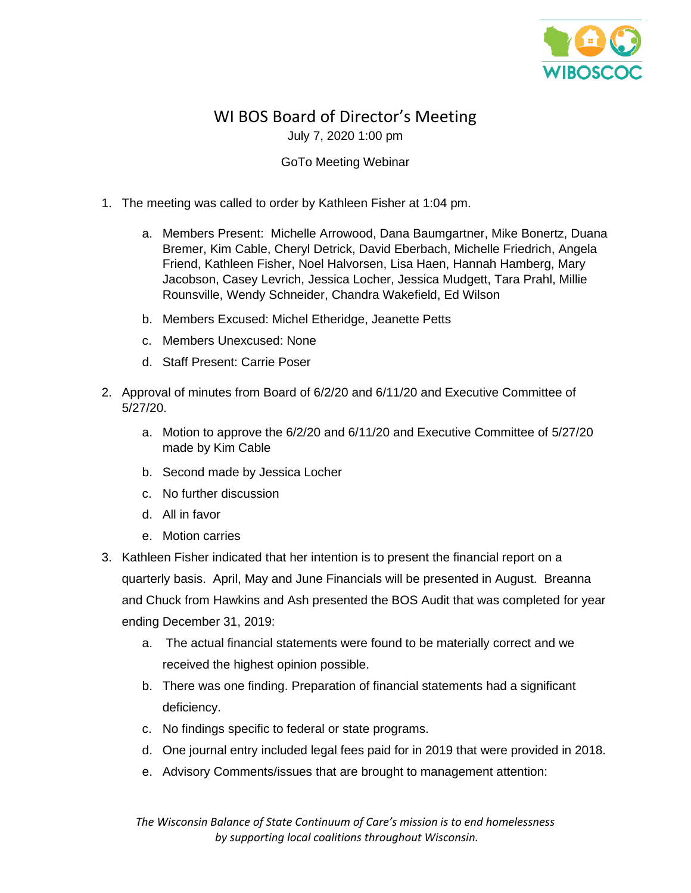

## WI BOS Board of Director's Meeting July 7, 2020 1:00 pm

## GoTo Meeting Webinar

- 1. The meeting was called to order by Kathleen Fisher at 1:04 pm.
	- a. Members Present: Michelle Arrowood, Dana Baumgartner, Mike Bonertz, Duana Bremer, Kim Cable, Cheryl Detrick, David Eberbach, Michelle Friedrich, Angela Friend, Kathleen Fisher, Noel Halvorsen, Lisa Haen, Hannah Hamberg, Mary Jacobson, Casey Levrich, Jessica Locher, Jessica Mudgett, Tara Prahl, Millie Rounsville, Wendy Schneider, Chandra Wakefield, Ed Wilson
	- b. Members Excused: Michel Etheridge, Jeanette Petts
	- c. Members Unexcused: None
	- d. Staff Present: Carrie Poser
- 2. Approval of minutes from Board of 6/2/20 and 6/11/20 and Executive Committee of 5/27/20.
	- a. Motion to approve the 6/2/20 and 6/11/20 and Executive Committee of 5/27/20 made by Kim Cable
	- b. Second made by Jessica Locher
	- c. No further discussion
	- d. All in favor
	- e. Motion carries
- 3. Kathleen Fisher indicated that her intention is to present the financial report on a quarterly basis. April, May and June Financials will be presented in August. Breanna and Chuck from Hawkins and Ash presented the BOS Audit that was completed for year ending December 31, 2019:
	- a. The actual financial statements were found to be materially correct and we received the highest opinion possible.
	- b. There was one finding. Preparation of financial statements had a significant deficiency.
	- c. No findings specific to federal or state programs.
	- d. One journal entry included legal fees paid for in 2019 that were provided in 2018.
	- e. Advisory Comments/issues that are brought to management attention:

*The Wisconsin Balance of State Continuum of Care's mission is to end homelessness by supporting local coalitions throughout Wisconsin.*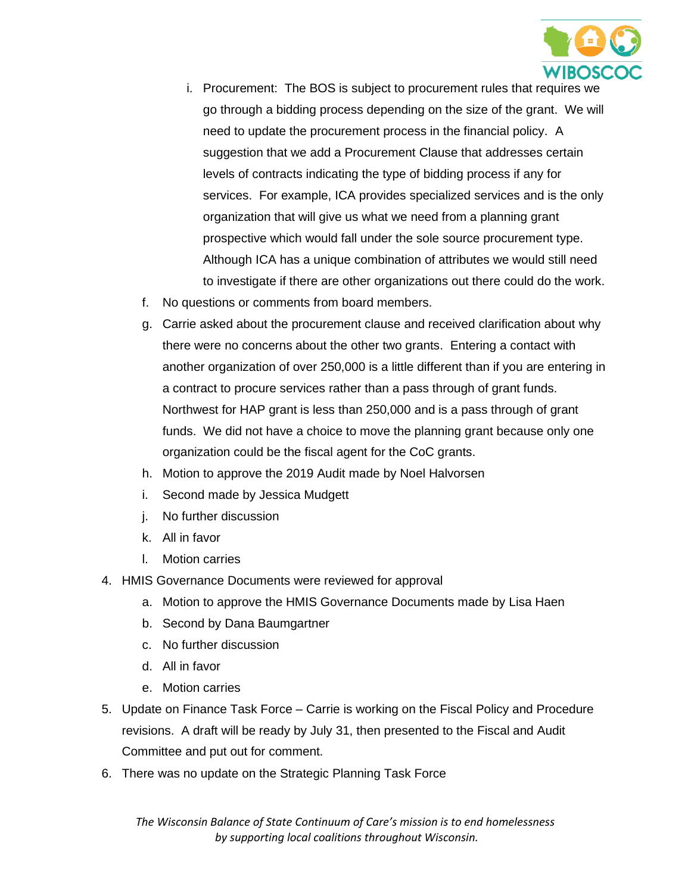

- i. Procurement: The BOS is subject to procurement rules that requires we go through a bidding process depending on the size of the grant. We will need to update the procurement process in the financial policy. A suggestion that we add a Procurement Clause that addresses certain levels of contracts indicating the type of bidding process if any for services. For example, ICA provides specialized services and is the only organization that will give us what we need from a planning grant prospective which would fall under the sole source procurement type. Although ICA has a unique combination of attributes we would still need to investigate if there are other organizations out there could do the work.
- f. No questions or comments from board members.
- g. Carrie asked about the procurement clause and received clarification about why there were no concerns about the other two grants. Entering a contact with another organization of over 250,000 is a little different than if you are entering in a contract to procure services rather than a pass through of grant funds. Northwest for HAP grant is less than 250,000 and is a pass through of grant funds. We did not have a choice to move the planning grant because only one organization could be the fiscal agent for the CoC grants.
- h. Motion to approve the 2019 Audit made by Noel Halvorsen
- i. Second made by Jessica Mudgett
- j. No further discussion
- k. All in favor
- l. Motion carries
- 4. HMIS Governance Documents were reviewed for approval
	- a. Motion to approve the HMIS Governance Documents made by Lisa Haen
	- b. Second by Dana Baumgartner
	- c. No further discussion
	- d. All in favor
	- e. Motion carries
- 5. Update on Finance Task Force Carrie is working on the Fiscal Policy and Procedure revisions. A draft will be ready by July 31, then presented to the Fiscal and Audit Committee and put out for comment.
- 6. There was no update on the Strategic Planning Task Force

*The Wisconsin Balance of State Continuum of Care's mission is to end homelessness by supporting local coalitions throughout Wisconsin.*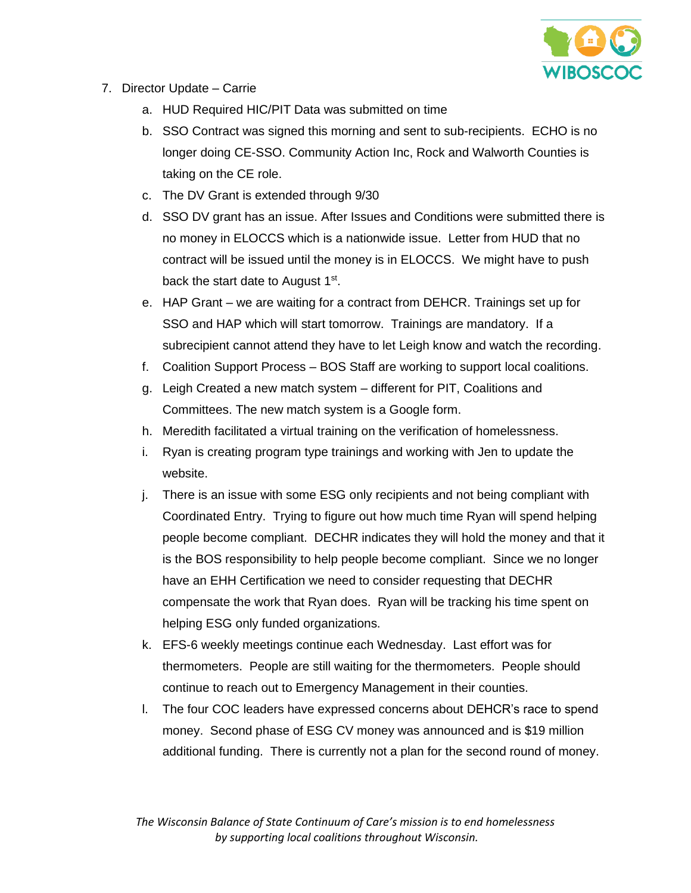

- 7. Director Update Carrie
	- a. HUD Required HIC/PIT Data was submitted on time
	- b. SSO Contract was signed this morning and sent to sub-recipients. ECHO is no longer doing CE-SSO. Community Action Inc, Rock and Walworth Counties is taking on the CE role.
	- c. The DV Grant is extended through 9/30
	- d. SSO DV grant has an issue. After Issues and Conditions were submitted there is no money in ELOCCS which is a nationwide issue. Letter from HUD that no contract will be issued until the money is in ELOCCS. We might have to push back the start date to August  $1<sup>st</sup>$ .
	- e. HAP Grant we are waiting for a contract from DEHCR. Trainings set up for SSO and HAP which will start tomorrow. Trainings are mandatory. If a subrecipient cannot attend they have to let Leigh know and watch the recording.
	- f. Coalition Support Process BOS Staff are working to support local coalitions.
	- g. Leigh Created a new match system different for PIT, Coalitions and Committees. The new match system is a Google form.
	- h. Meredith facilitated a virtual training on the verification of homelessness.
	- i. Ryan is creating program type trainings and working with Jen to update the website.
	- j. There is an issue with some ESG only recipients and not being compliant with Coordinated Entry. Trying to figure out how much time Ryan will spend helping people become compliant. DECHR indicates they will hold the money and that it is the BOS responsibility to help people become compliant. Since we no longer have an EHH Certification we need to consider requesting that DECHR compensate the work that Ryan does. Ryan will be tracking his time spent on helping ESG only funded organizations.
	- k. EFS-6 weekly meetings continue each Wednesday. Last effort was for thermometers. People are still waiting for the thermometers. People should continue to reach out to Emergency Management in their counties.
	- l. The four COC leaders have expressed concerns about DEHCR's race to spend money. Second phase of ESG CV money was announced and is \$19 million additional funding. There is currently not a plan for the second round of money.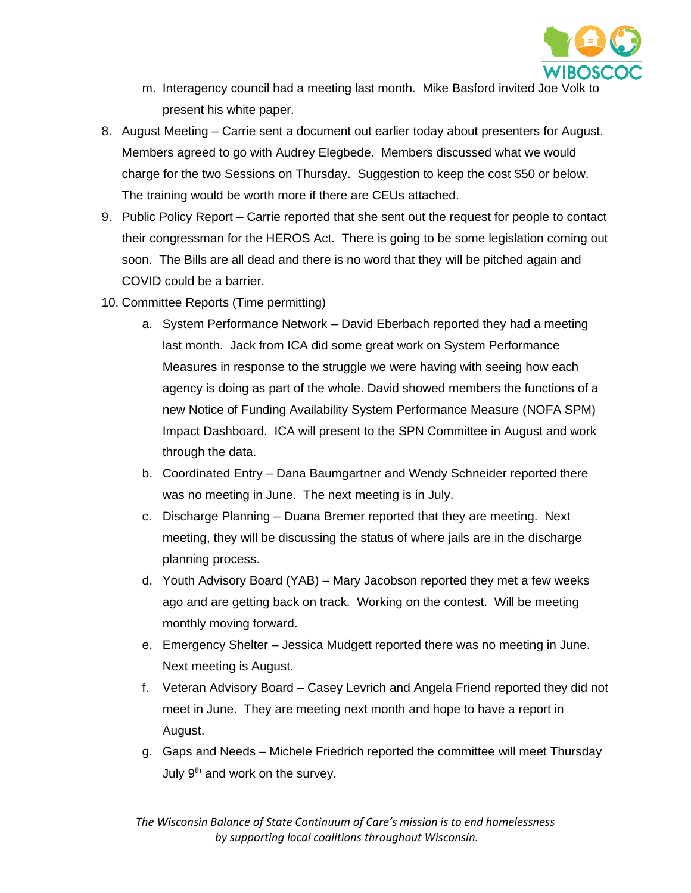

- m. Interagency council had a meeting last month. Mike Basford invited Joe Volk t present his white paper.
- 8. August Meeting Carrie sent a document out earlier today about presenters for August. Members agreed to go with Audrey Elegbede. Members discussed what we would charge for the two Sessions on Thursday. Suggestion to keep the cost \$50 or below. The training would be worth more if there are CEUs attached.
- 9. Public Policy Report Carrie reported that she sent out the request for people to contact their congressman for the HEROS Act. There is going to be some legislation coming out soon. The Bills are all dead and there is no word that they will be pitched again and COVID could be a barrier.
- 10. Committee Reports (Time permitting)
	- a. System Performance Network David Eberbach reported they had a meeting last month. Jack from ICA did some great work on System Performance Measures in response to the struggle we were having with seeing how each agency is doing as part of the whole. David showed members the functions of a new Notice of Funding Availability System Performance Measure (NOFA SPM) Impact Dashboard. ICA will present to the SPN Committee in August and work through the data.
	- b. Coordinated Entry Dana Baumgartner and Wendy Schneider reported there was no meeting in June. The next meeting is in July.
	- c. Discharge Planning Duana Bremer reported that they are meeting. Next meeting, they will be discussing the status of where jails are in the discharge planning process.
	- d. Youth Advisory Board (YAB) Mary Jacobson reported they met a few weeks ago and are getting back on track. Working on the contest. Will be meeting monthly moving forward.
	- e. Emergency Shelter Jessica Mudgett reported there was no meeting in June. Next meeting is August.
	- f. Veteran Advisory Board Casey Levrich and Angela Friend reported they did not meet in June. They are meeting next month and hope to have a report in August.
	- g. Gaps and Needs Michele Friedrich reported the committee will meet Thursday July  $9<sup>th</sup>$  and work on the survey.

*The Wisconsin Balance of State Continuum of Care's mission is to end homelessness by supporting local coalitions throughout Wisconsin.*